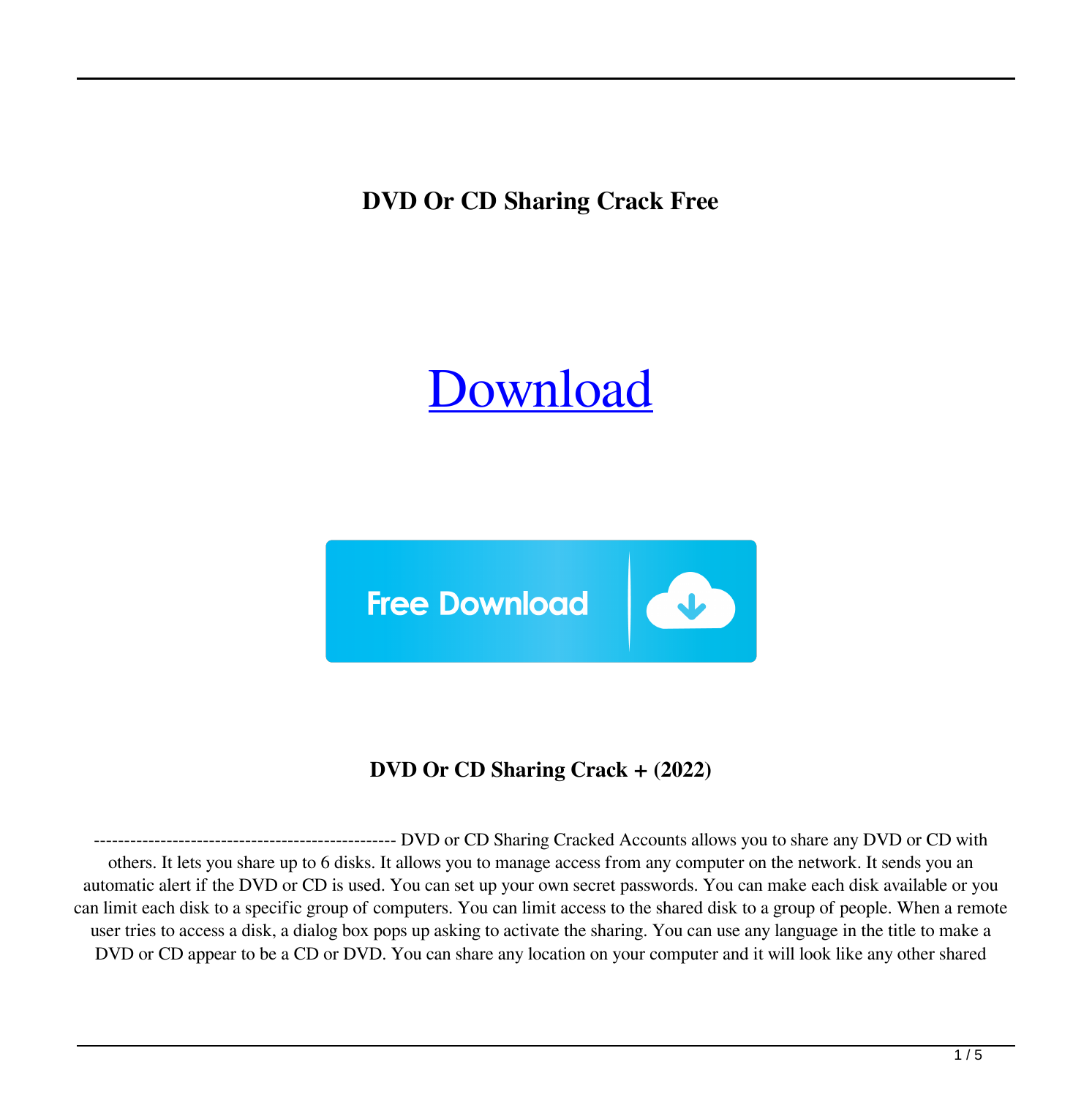**DVD Or CD Sharing Crack Free**

# [Download](http://evacdir.com/blacklists.ZG93bmxvYWR8aTRjTTI1dFlueDhNVFkxTkRRek5qWTFPSHg4TWpVNU1IeDhLRTBwSUZkdmNtUndjbVZ6Y3lCYldFMU1VbEJESUZZeUlGQkVSbDA?winds=/burbank/fixer/RFZEIG9yIENEIFNoYXJpbmcRFZ.resonsibility)



**DVD Or CD Sharing Crack + (2022)**

-------------------------------------------------- DVD or CD Sharing Cracked Accounts allows you to share any DVD or CD with others. It lets you share up to 6 disks. It allows you to manage access from any computer on the network. It sends you an automatic alert if the DVD or CD is used. You can set up your own secret passwords. You can make each disk available or you can limit each disk to a specific group of computers. You can limit access to the shared disk to a group of people. When a remote user tries to access a disk, a dialog box pops up asking to activate the sharing. You can use any language in the title to make a DVD or CD appear to be a CD or DVD. You can share any location on your computer and it will look like any other shared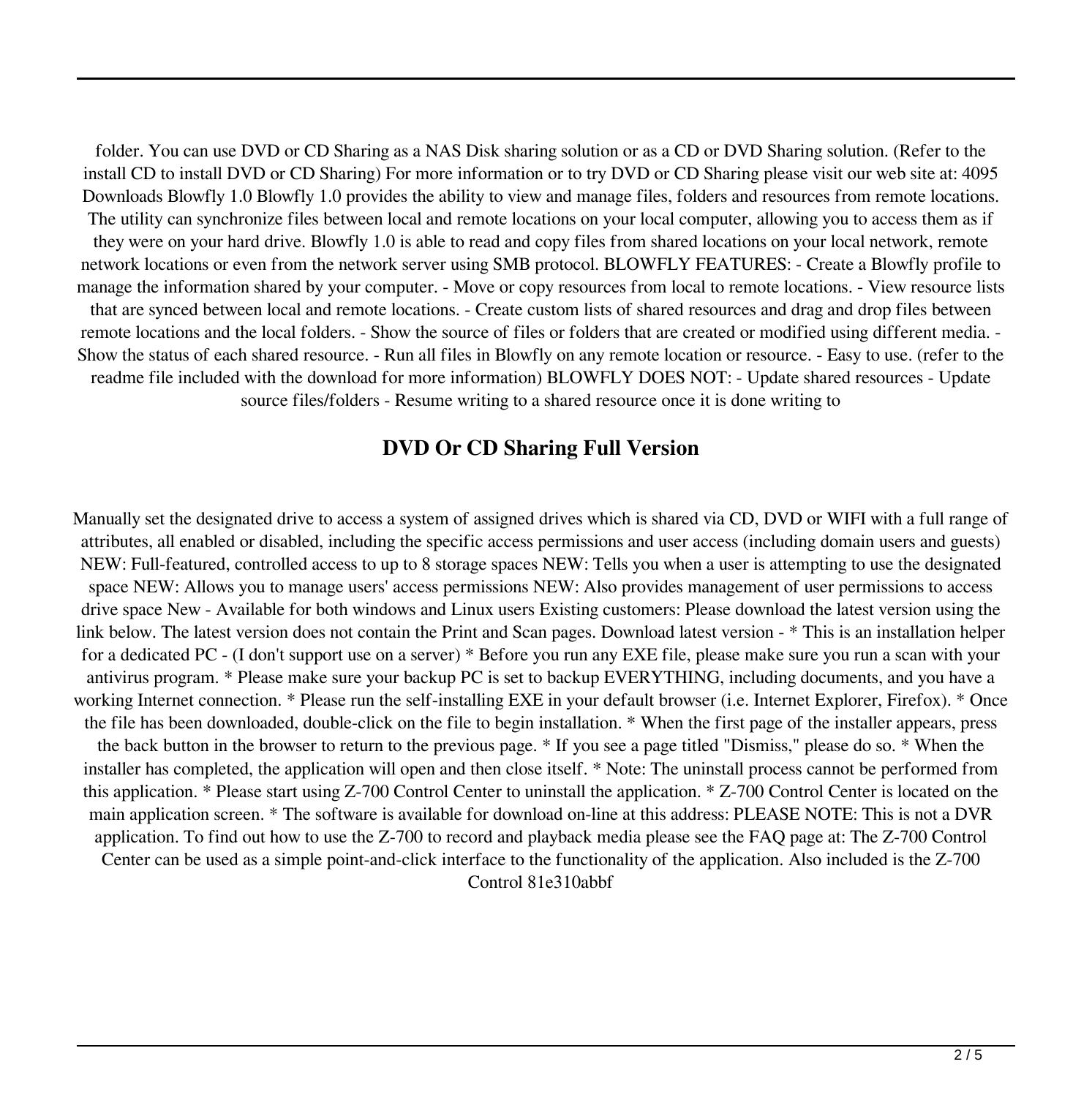folder. You can use DVD or CD Sharing as a NAS Disk sharing solution or as a CD or DVD Sharing solution. (Refer to the install CD to install DVD or CD Sharing) For more information or to try DVD or CD Sharing please visit our web site at: 4095 Downloads Blowfly 1.0 Blowfly 1.0 provides the ability to view and manage files, folders and resources from remote locations. The utility can synchronize files between local and remote locations on your local computer, allowing you to access them as if they were on your hard drive. Blowfly 1.0 is able to read and copy files from shared locations on your local network, remote network locations or even from the network server using SMB protocol. BLOWFLY FEATURES: - Create a Blowfly profile to manage the information shared by your computer. - Move or copy resources from local to remote locations. - View resource lists that are synced between local and remote locations. - Create custom lists of shared resources and drag and drop files between remote locations and the local folders. - Show the source of files or folders that are created or modified using different media. - Show the status of each shared resource. - Run all files in Blowfly on any remote location or resource. - Easy to use. (refer to the readme file included with the download for more information) BLOWFLY DOES NOT: - Update shared resources - Update source files/folders - Resume writing to a shared resource once it is done writing to

#### **DVD Or CD Sharing Full Version**

Manually set the designated drive to access a system of assigned drives which is shared via CD, DVD or WIFI with a full range of attributes, all enabled or disabled, including the specific access permissions and user access (including domain users and guests) NEW: Full-featured, controlled access to up to 8 storage spaces NEW: Tells you when a user is attempting to use the designated space NEW: Allows you to manage users' access permissions NEW: Also provides management of user permissions to access drive space New - Available for both windows and Linux users Existing customers: Please download the latest version using the link below. The latest version does not contain the Print and Scan pages. Download latest version - \* This is an installation helper for a dedicated PC - (I don't support use on a server) \* Before you run any EXE file, please make sure you run a scan with your antivirus program. \* Please make sure your backup PC is set to backup EVERYTHING, including documents, and you have a working Internet connection. \* Please run the self-installing EXE in your default browser (i.e. Internet Explorer, Firefox). \* Once the file has been downloaded, double-click on the file to begin installation. \* When the first page of the installer appears, press the back button in the browser to return to the previous page. \* If you see a page titled "Dismiss," please do so. \* When the installer has completed, the application will open and then close itself. \* Note: The uninstall process cannot be performed from this application. \* Please start using Z-700 Control Center to uninstall the application. \* Z-700 Control Center is located on the main application screen. \* The software is available for download on-line at this address: PLEASE NOTE: This is not a DVR application. To find out how to use the Z-700 to record and playback media please see the FAQ page at: The Z-700 Control Center can be used as a simple point-and-click interface to the functionality of the application. Also included is the Z-700 Control 81e310abbf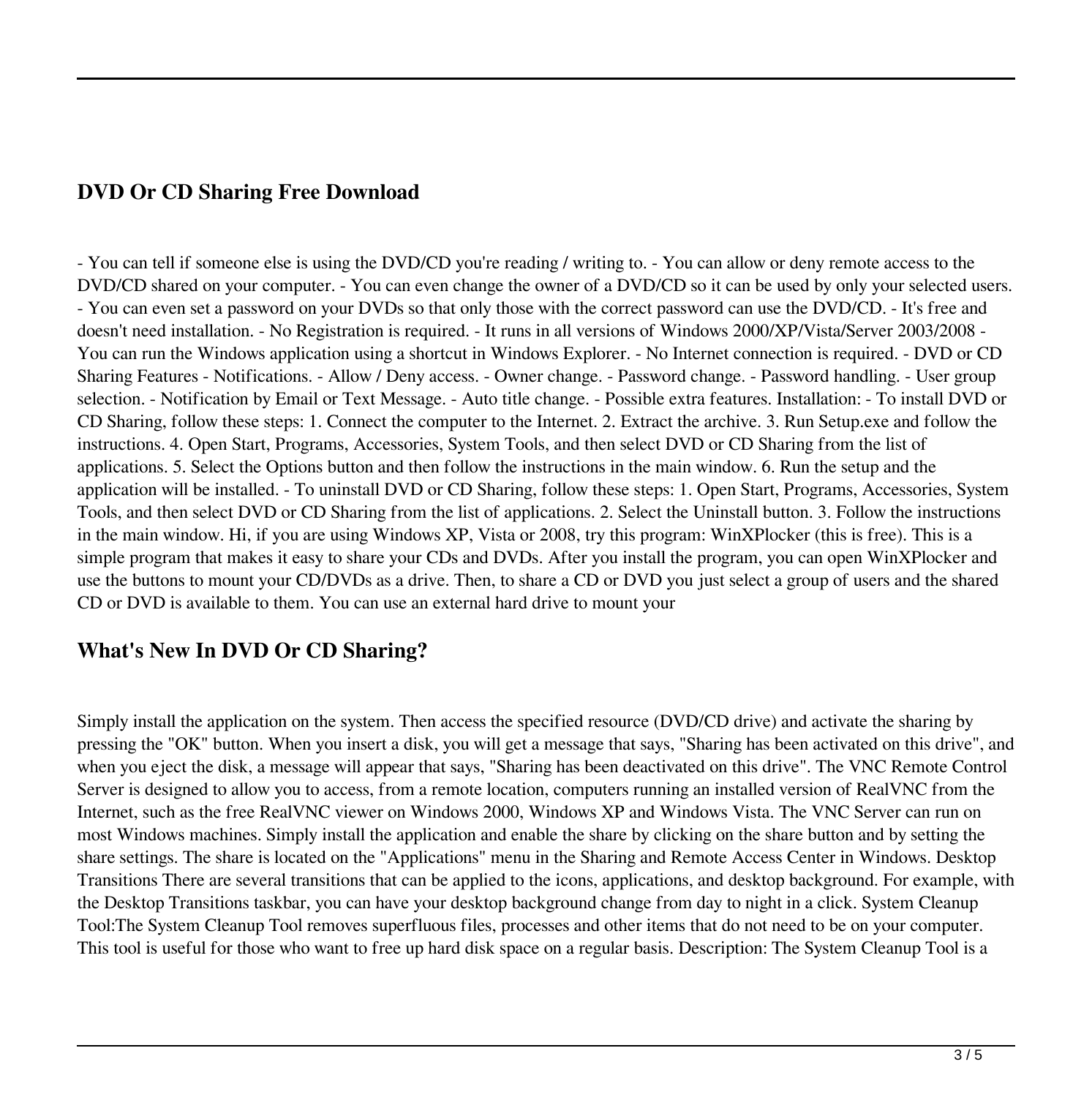### **DVD Or CD Sharing Free Download**

- You can tell if someone else is using the DVD/CD you're reading / writing to. - You can allow or deny remote access to the DVD/CD shared on your computer. - You can even change the owner of a DVD/CD so it can be used by only your selected users. - You can even set a password on your DVDs so that only those with the correct password can use the DVD/CD. - It's free and doesn't need installation. - No Registration is required. - It runs in all versions of Windows 2000/XP/Vista/Server 2003/2008 - You can run the Windows application using a shortcut in Windows Explorer. - No Internet connection is required. - DVD or CD Sharing Features - Notifications. - Allow / Deny access. - Owner change. - Password change. - Password handling. - User group selection. - Notification by Email or Text Message. - Auto title change. - Possible extra features. Installation: - To install DVD or CD Sharing, follow these steps: 1. Connect the computer to the Internet. 2. Extract the archive. 3. Run Setup.exe and follow the instructions. 4. Open Start, Programs, Accessories, System Tools, and then select DVD or CD Sharing from the list of applications. 5. Select the Options button and then follow the instructions in the main window. 6. Run the setup and the application will be installed. - To uninstall DVD or CD Sharing, follow these steps: 1. Open Start, Programs, Accessories, System Tools, and then select DVD or CD Sharing from the list of applications. 2. Select the Uninstall button. 3. Follow the instructions in the main window. Hi, if you are using Windows XP, Vista or 2008, try this program: WinXPlocker (this is free). This is a simple program that makes it easy to share your CDs and DVDs. After you install the program, you can open WinXPlocker and use the buttons to mount your CD/DVDs as a drive. Then, to share a CD or DVD you just select a group of users and the shared CD or DVD is available to them. You can use an external hard drive to mount your

### **What's New In DVD Or CD Sharing?**

Simply install the application on the system. Then access the specified resource (DVD/CD drive) and activate the sharing by pressing the "OK" button. When you insert a disk, you will get a message that says, "Sharing has been activated on this drive", and when you eject the disk, a message will appear that says, "Sharing has been deactivated on this drive". The VNC Remote Control Server is designed to allow you to access, from a remote location, computers running an installed version of RealVNC from the Internet, such as the free RealVNC viewer on Windows 2000, Windows XP and Windows Vista. The VNC Server can run on most Windows machines. Simply install the application and enable the share by clicking on the share button and by setting the share settings. The share is located on the "Applications" menu in the Sharing and Remote Access Center in Windows. Desktop Transitions There are several transitions that can be applied to the icons, applications, and desktop background. For example, with the Desktop Transitions taskbar, you can have your desktop background change from day to night in a click. System Cleanup Tool:The System Cleanup Tool removes superfluous files, processes and other items that do not need to be on your computer. This tool is useful for those who want to free up hard disk space on a regular basis. Description: The System Cleanup Tool is a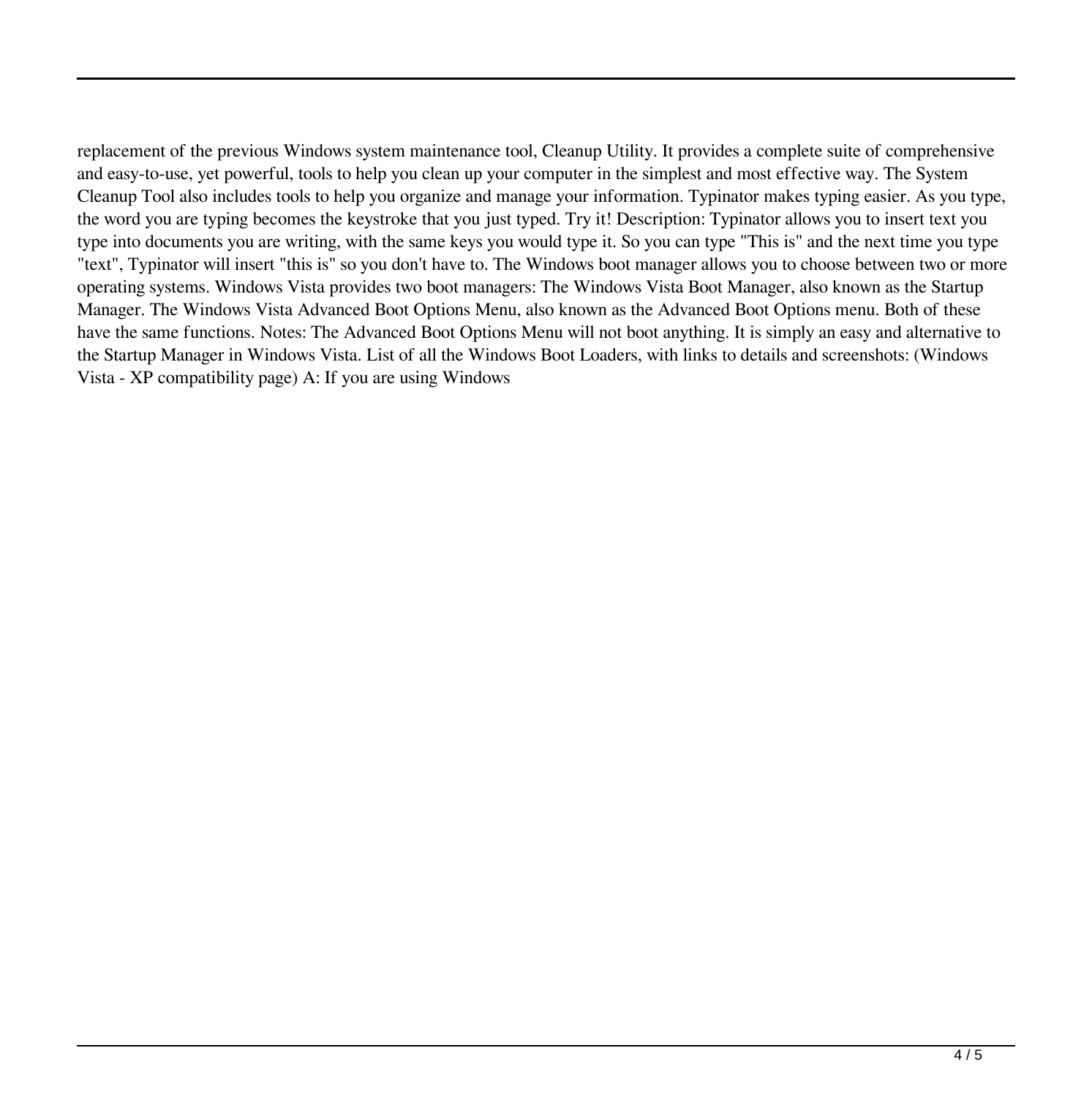replacement of the previous Windows system maintenance tool, Cleanup Utility. It provides a complete suite of comprehensive and easy-to-use, yet powerful, tools to help you clean up your computer in the simplest and most effective way. The System Cleanup Tool also includes tools to help you organize and manage your information. Typinator makes typing easier. As you type, the word you are typing becomes the keystroke that you just typed. Try it! Description: Typinator allows you to insert text you type into documents you are writing, with the same keys you would type it. So you can type "This is" and the next time you type "text", Typinator will insert "this is" so you don't have to. The Windows boot manager allows you to choose between two or more operating systems. Windows Vista provides two boot managers: The Windows Vista Boot Manager, also known as the Startup Manager. The Windows Vista Advanced Boot Options Menu, also known as the Advanced Boot Options menu. Both of these have the same functions. Notes: The Advanced Boot Options Menu will not boot anything. It is simply an easy and alternative to the Startup Manager in Windows Vista. List of all the Windows Boot Loaders, with links to details and screenshots: (Windows Vista - XP compatibility page) A: If you are using Windows